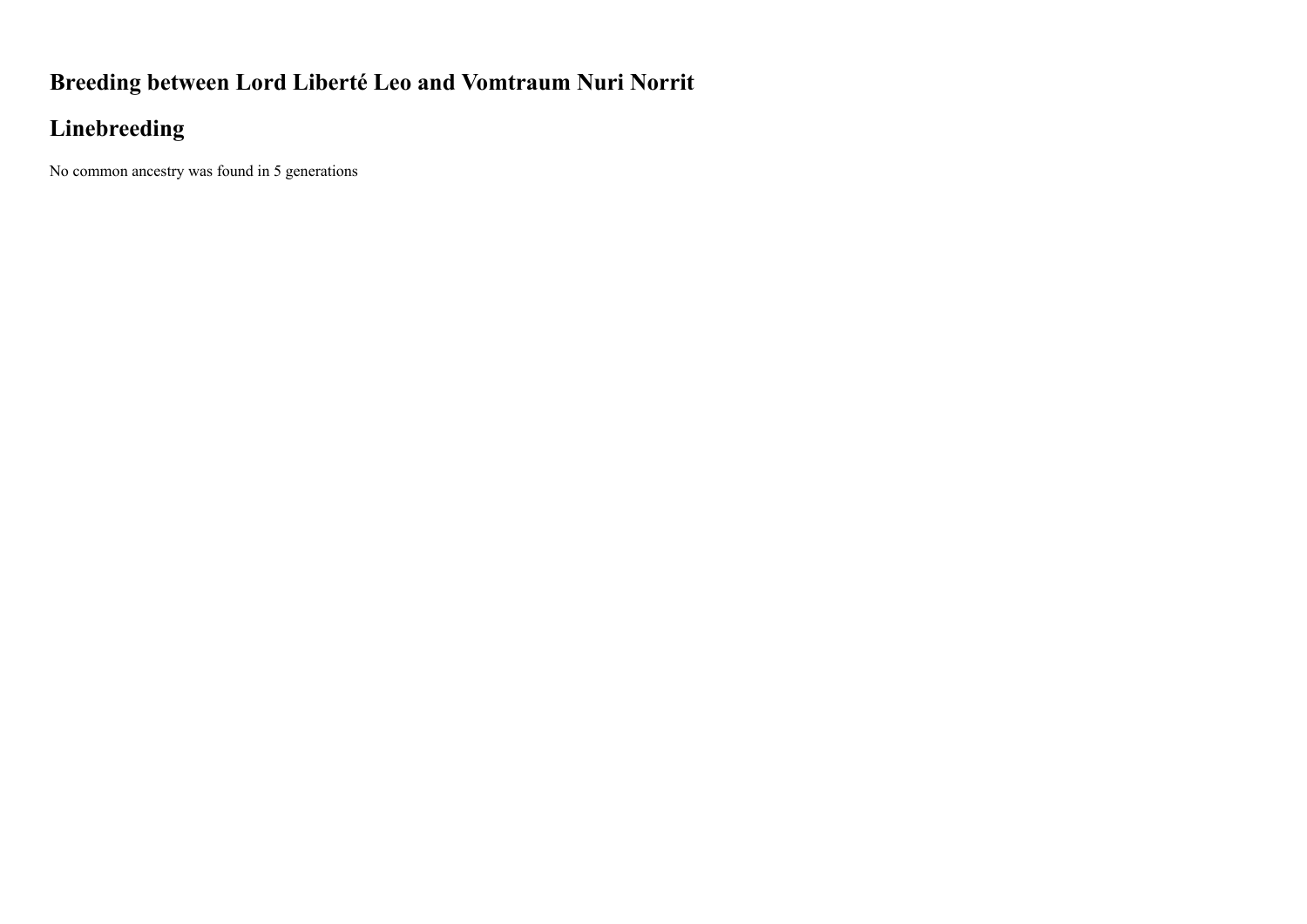## **Breeding between Lord Liberté Leo and Vomtraum Nuri Norrit**

## **Linebreeding**

No common ancestry was found in 5 generations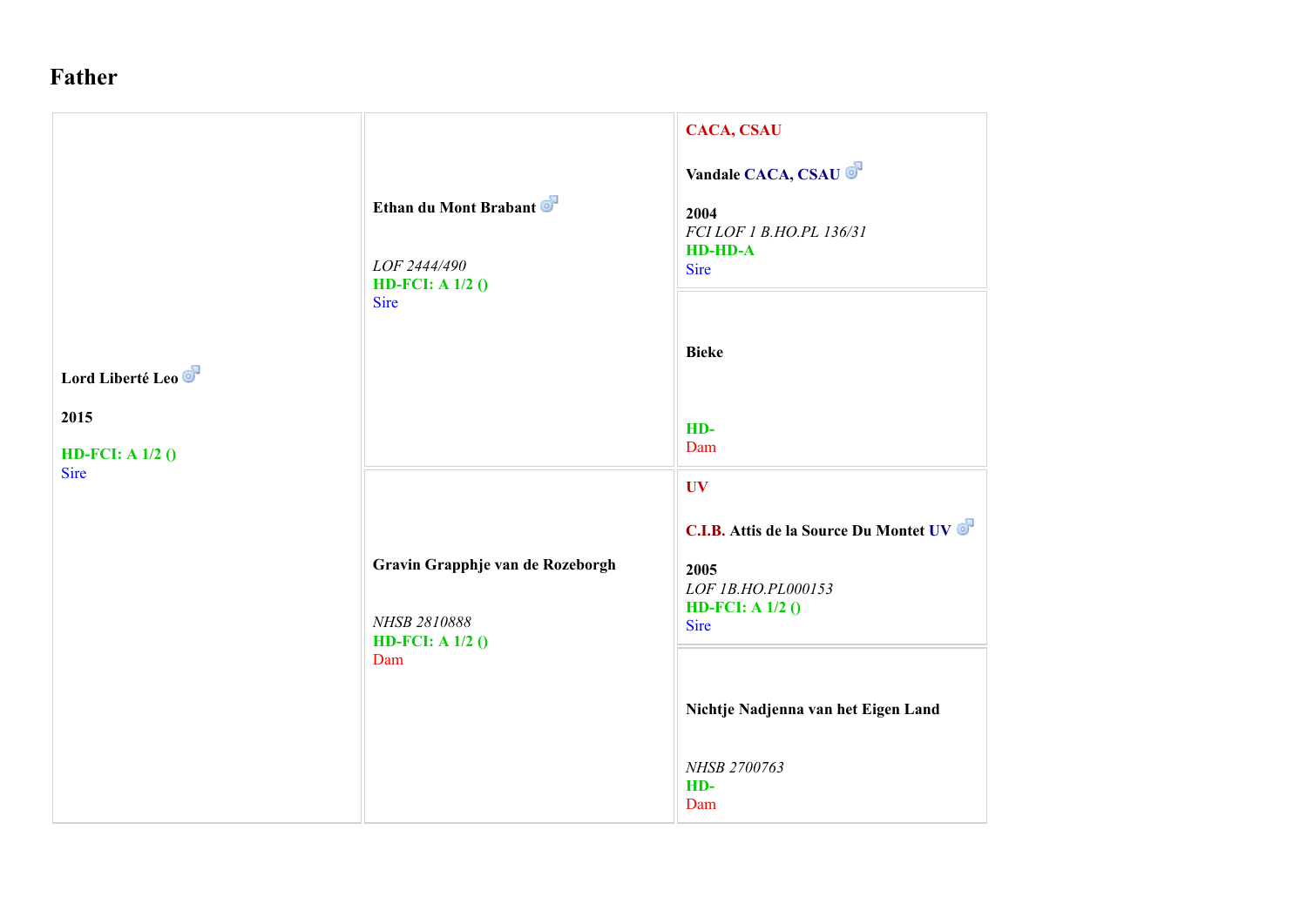## **Father**

|                                                        | Ethan du Mont Brabant<br>LOF 2444/490<br>HD-FCI: A $1/2$ ()<br>Sire           | <b>CACA, CSAU</b><br>Vandale CACA, CSAU<br>2004<br>FCI LOF 1 B.HO.PL 136/31<br><b>HD-HD-A</b><br><b>Sire</b><br><b>Bieke</b>                                                   |
|--------------------------------------------------------|-------------------------------------------------------------------------------|--------------------------------------------------------------------------------------------------------------------------------------------------------------------------------|
| Lord Liberté Leo<br>2015<br>HD-FCI: A $1/2$ ()<br>Sire |                                                                               | HD-<br>Dam<br><b>UV</b>                                                                                                                                                        |
|                                                        | Gravin Grapphje van de Rozeborgh<br>NHSB 2810888<br>HD-FCI: A $1/2$ ()<br>Dam | C.I.B. Attis de la Source Du Montet UV<br>2005<br>LOF 1B.HO.PL000153<br>HD-FCI: A $1/2$ ()<br><b>Sire</b><br>Nichtje Nadjenna van het Eigen Land<br>NHSB 2700763<br>HD-<br>Dam |